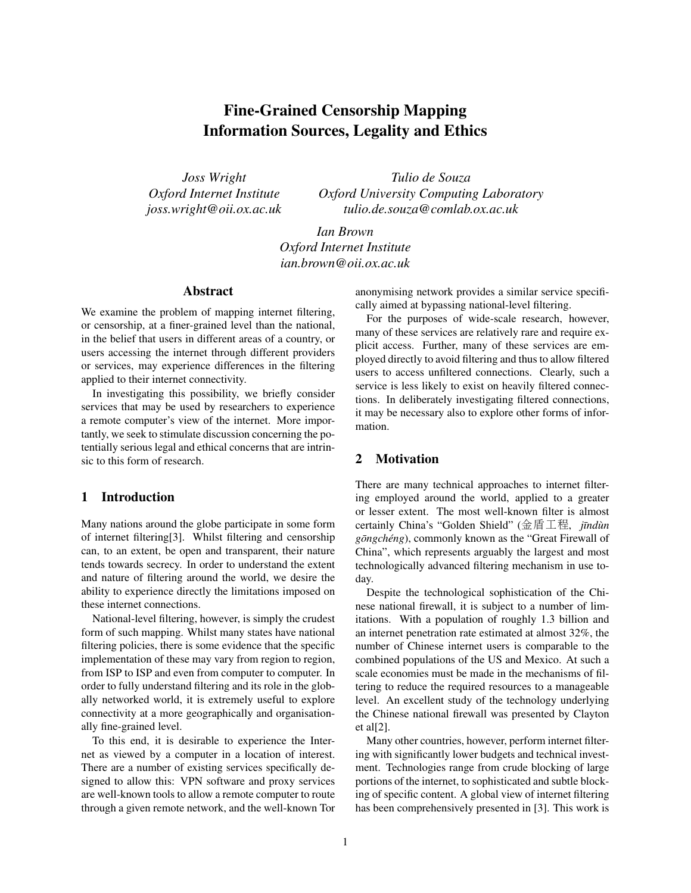# Fine-Grained Censorship Mapping Information Sources, Legality and Ethics

*Joss Wright Oxford Internet Institute joss.wright@oii.ox.ac.uk*

*Tulio de Souza Oxford University Computing Laboratory tulio.de.souza@comlab.ox.ac.uk*

*Ian Brown Oxford Internet Institute ian.brown@oii.ox.ac.uk*

## Abstract

We examine the problem of mapping internet filtering, or censorship, at a finer-grained level than the national, in the belief that users in different areas of a country, or users accessing the internet through different providers or services, may experience differences in the filtering applied to their internet connectivity.

In investigating this possibility, we briefly consider services that may be used by researchers to experience a remote computer's view of the internet. More importantly, we seek to stimulate discussion concerning the potentially serious legal and ethical concerns that are intrinsic to this form of research.

#### 1 Introduction

Many nations around the globe participate in some form of internet filtering[3]. Whilst filtering and censorship can, to an extent, be open and transparent, their nature tends towards secrecy. In order to understand the extent and nature of filtering around the world, we desire the ability to experience directly the limitations imposed on these internet connections.

National-level filtering, however, is simply the crudest form of such mapping. Whilst many states have national filtering policies, there is some evidence that the specific implementation of these may vary from region to region, from ISP to ISP and even from computer to computer. In order to fully understand filtering and its role in the globally networked world, it is extremely useful to explore connectivity at a more geographically and organisationally fine-grained level.

To this end, it is desirable to experience the Internet as viewed by a computer in a location of interest. There are a number of existing services specifically designed to allow this: VPN software and proxy services are well-known tools to allow a remote computer to route through a given remote network, and the well-known Tor anonymising network provides a similar service specifically aimed at bypassing national-level filtering.

For the purposes of wide-scale research, however, many of these services are relatively rare and require explicit access. Further, many of these services are employed directly to avoid filtering and thus to allow filtered users to access unfiltered connections. Clearly, such a service is less likely to exist on heavily filtered connections. In deliberately investigating filtered connections, it may be necessary also to explore other forms of information.

# 2 Motivation

There are many technical approaches to internet filtering employed around the world, applied to a greater or lesser extent. The most well-known filter is almost certainly China's "Golden Shield" (金盾工程, jīndùn *gōngchéng*), commonly known as the "Great Firewall of China", which represents arguably the largest and most technologically advanced filtering mechanism in use today.

Despite the technological sophistication of the Chinese national firewall, it is subject to a number of limitations. With a population of roughly 1.3 billion and an internet penetration rate estimated at almost 32%, the number of Chinese internet users is comparable to the combined populations of the US and Mexico. At such a scale economies must be made in the mechanisms of filtering to reduce the required resources to a manageable level. An excellent study of the technology underlying the Chinese national firewall was presented by Clayton et al[2].

Many other countries, however, perform internet filtering with significantly lower budgets and technical investment. Technologies range from crude blocking of large portions of the internet, to sophisticated and subtle blocking of specific content. A global view of internet filtering has been comprehensively presented in [3]. This work is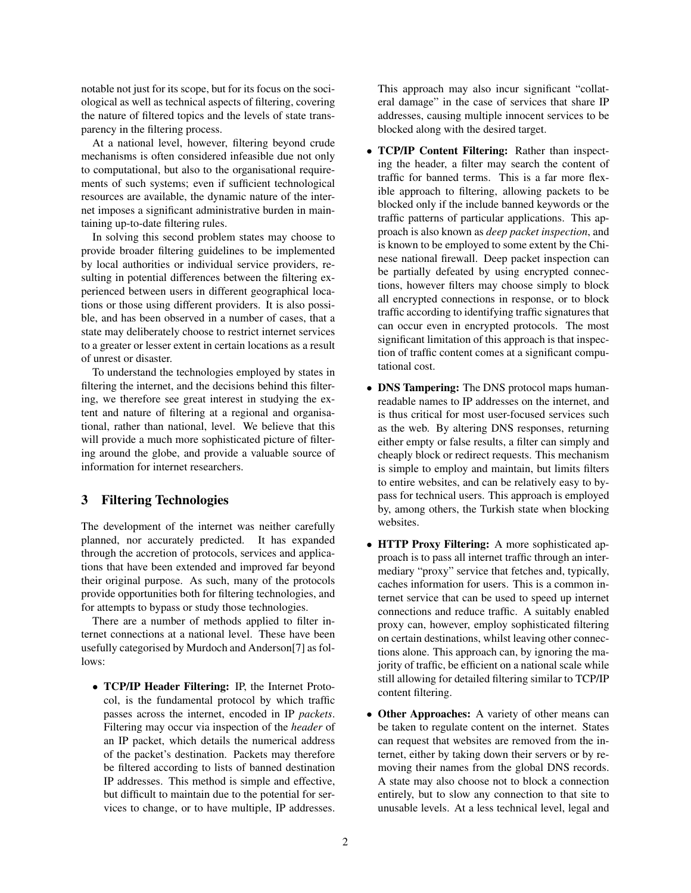notable not just for its scope, but for its focus on the sociological as well as technical aspects of filtering, covering the nature of filtered topics and the levels of state transparency in the filtering process.

At a national level, however, filtering beyond crude mechanisms is often considered infeasible due not only to computational, but also to the organisational requirements of such systems; even if sufficient technological resources are available, the dynamic nature of the internet imposes a significant administrative burden in maintaining up-to-date filtering rules.

In solving this second problem states may choose to provide broader filtering guidelines to be implemented by local authorities or individual service providers, resulting in potential differences between the filtering experienced between users in different geographical locations or those using different providers. It is also possible, and has been observed in a number of cases, that a state may deliberately choose to restrict internet services to a greater or lesser extent in certain locations as a result of unrest or disaster.

To understand the technologies employed by states in filtering the internet, and the decisions behind this filtering, we therefore see great interest in studying the extent and nature of filtering at a regional and organisational, rather than national, level. We believe that this will provide a much more sophisticated picture of filtering around the globe, and provide a valuable source of information for internet researchers.

## 3 Filtering Technologies

The development of the internet was neither carefully planned, nor accurately predicted. It has expanded through the accretion of protocols, services and applications that have been extended and improved far beyond their original purpose. As such, many of the protocols provide opportunities both for filtering technologies, and for attempts to bypass or study those technologies.

There are a number of methods applied to filter internet connections at a national level. These have been usefully categorised by Murdoch and Anderson[7] as follows:

• TCP/IP Header Filtering: IP, the Internet Protocol, is the fundamental protocol by which traffic passes across the internet, encoded in IP *packets*. Filtering may occur via inspection of the *header* of an IP packet, which details the numerical address of the packet's destination. Packets may therefore be filtered according to lists of banned destination IP addresses. This method is simple and effective, but difficult to maintain due to the potential for services to change, or to have multiple, IP addresses. This approach may also incur significant "collateral damage" in the case of services that share IP addresses, causing multiple innocent services to be blocked along with the desired target.

- TCP/IP Content Filtering: Rather than inspecting the header, a filter may search the content of traffic for banned terms. This is a far more flexible approach to filtering, allowing packets to be blocked only if the include banned keywords or the traffic patterns of particular applications. This approach is also known as *deep packet inspection*, and is known to be employed to some extent by the Chinese national firewall. Deep packet inspection can be partially defeated by using encrypted connections, however filters may choose simply to block all encrypted connections in response, or to block traffic according to identifying traffic signatures that can occur even in encrypted protocols. The most significant limitation of this approach is that inspection of traffic content comes at a significant computational cost.
- DNS Tampering: The DNS protocol maps humanreadable names to IP addresses on the internet, and is thus critical for most user-focused services such as the web. By altering DNS responses, returning either empty or false results, a filter can simply and cheaply block or redirect requests. This mechanism is simple to employ and maintain, but limits filters to entire websites, and can be relatively easy to bypass for technical users. This approach is employed by, among others, the Turkish state when blocking websites.
- HTTP Proxy Filtering: A more sophisticated approach is to pass all internet traffic through an intermediary "proxy" service that fetches and, typically, caches information for users. This is a common internet service that can be used to speed up internet connections and reduce traffic. A suitably enabled proxy can, however, employ sophisticated filtering on certain destinations, whilst leaving other connections alone. This approach can, by ignoring the majority of traffic, be efficient on a national scale while still allowing for detailed filtering similar to TCP/IP content filtering.
- Other Approaches: A variety of other means can be taken to regulate content on the internet. States can request that websites are removed from the internet, either by taking down their servers or by removing their names from the global DNS records. A state may also choose not to block a connection entirely, but to slow any connection to that site to unusable levels. At a less technical level, legal and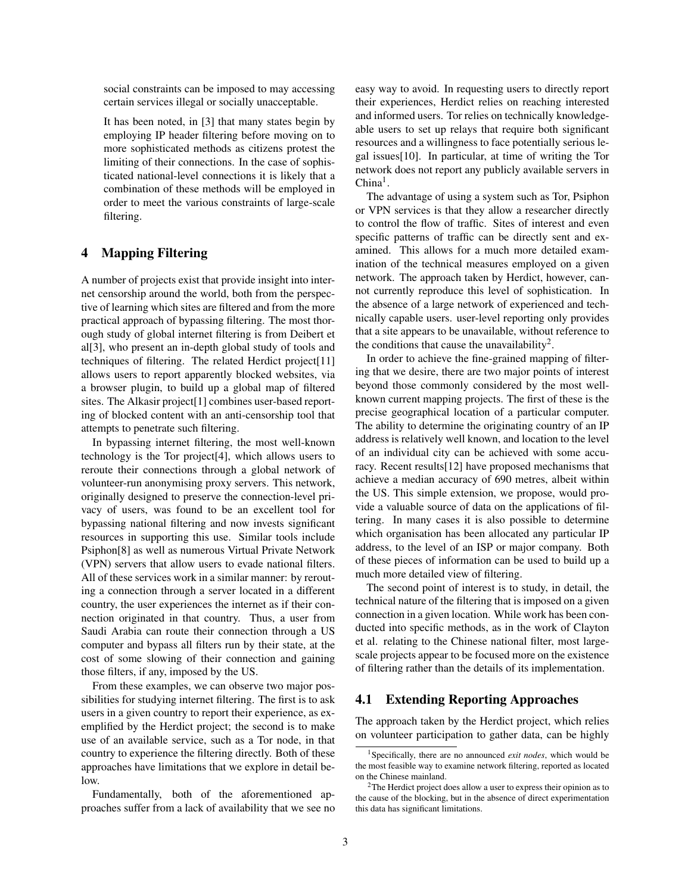social constraints can be imposed to may accessing certain services illegal or socially unacceptable.

It has been noted, in [3] that many states begin by employing IP header filtering before moving on to more sophisticated methods as citizens protest the limiting of their connections. In the case of sophisticated national-level connections it is likely that a combination of these methods will be employed in order to meet the various constraints of large-scale filtering.

## 4 Mapping Filtering

A number of projects exist that provide insight into internet censorship around the world, both from the perspective of learning which sites are filtered and from the more practical approach of bypassing filtering. The most thorough study of global internet filtering is from Deibert et al[3], who present an in-depth global study of tools and techniques of filtering. The related Herdict project[11] allows users to report apparently blocked websites, via a browser plugin, to build up a global map of filtered sites. The Alkasir project[1] combines user-based reporting of blocked content with an anti-censorship tool that attempts to penetrate such filtering.

In bypassing internet filtering, the most well-known technology is the Tor project[4], which allows users to reroute their connections through a global network of volunteer-run anonymising proxy servers. This network, originally designed to preserve the connection-level privacy of users, was found to be an excellent tool for bypassing national filtering and now invests significant resources in supporting this use. Similar tools include Psiphon[8] as well as numerous Virtual Private Network (VPN) servers that allow users to evade national filters. All of these services work in a similar manner: by rerouting a connection through a server located in a different country, the user experiences the internet as if their connection originated in that country. Thus, a user from Saudi Arabia can route their connection through a US computer and bypass all filters run by their state, at the cost of some slowing of their connection and gaining those filters, if any, imposed by the US.

From these examples, we can observe two major possibilities for studying internet filtering. The first is to ask users in a given country to report their experience, as exemplified by the Herdict project; the second is to make use of an available service, such as a Tor node, in that country to experience the filtering directly. Both of these approaches have limitations that we explore in detail below.

Fundamentally, both of the aforementioned approaches suffer from a lack of availability that we see no easy way to avoid. In requesting users to directly report their experiences, Herdict relies on reaching interested and informed users. Tor relies on technically knowledgeable users to set up relays that require both significant resources and a willingness to face potentially serious legal issues[10]. In particular, at time of writing the Tor network does not report any publicly available servers in  $China<sup>1</sup>$ .

The advantage of using a system such as Tor, Psiphon or VPN services is that they allow a researcher directly to control the flow of traffic. Sites of interest and even specific patterns of traffic can be directly sent and examined. This allows for a much more detailed examination of the technical measures employed on a given network. The approach taken by Herdict, however, cannot currently reproduce this level of sophistication. In the absence of a large network of experienced and technically capable users. user-level reporting only provides that a site appears to be unavailable, without reference to the conditions that cause the unavailability<sup>2</sup>.

In order to achieve the fine-grained mapping of filtering that we desire, there are two major points of interest beyond those commonly considered by the most wellknown current mapping projects. The first of these is the precise geographical location of a particular computer. The ability to determine the originating country of an IP address is relatively well known, and location to the level of an individual city can be achieved with some accuracy. Recent results[12] have proposed mechanisms that achieve a median accuracy of 690 metres, albeit within the US. This simple extension, we propose, would provide a valuable source of data on the applications of filtering. In many cases it is also possible to determine which organisation has been allocated any particular IP address, to the level of an ISP or major company. Both of these pieces of information can be used to build up a much more detailed view of filtering.

The second point of interest is to study, in detail, the technical nature of the filtering that is imposed on a given connection in a given location. While work has been conducted into specific methods, as in the work of Clayton et al. relating to the Chinese national filter, most largescale projects appear to be focused more on the existence of filtering rather than the details of its implementation.

#### 4.1 Extending Reporting Approaches

The approach taken by the Herdict project, which relies on volunteer participation to gather data, can be highly

<sup>1</sup>Specifically, there are no announced *exit nodes*, which would be the most feasible way to examine network filtering, reported as located on the Chinese mainland.

<sup>&</sup>lt;sup>2</sup>The Herdict project does allow a user to express their opinion as to the cause of the blocking, but in the absence of direct experimentation this data has significant limitations.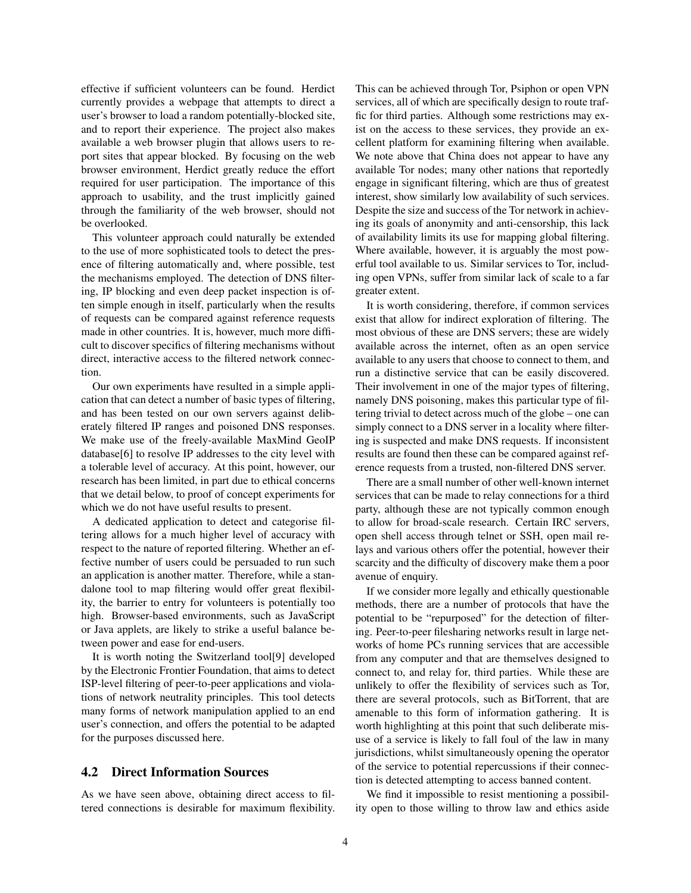effective if sufficient volunteers can be found. Herdict currently provides a webpage that attempts to direct a user's browser to load a random potentially-blocked site, and to report their experience. The project also makes available a web browser plugin that allows users to report sites that appear blocked. By focusing on the web browser environment, Herdict greatly reduce the effort required for user participation. The importance of this approach to usability, and the trust implicitly gained through the familiarity of the web browser, should not be overlooked.

This volunteer approach could naturally be extended to the use of more sophisticated tools to detect the presence of filtering automatically and, where possible, test the mechanisms employed. The detection of DNS filtering, IP blocking and even deep packet inspection is often simple enough in itself, particularly when the results of requests can be compared against reference requests made in other countries. It is, however, much more difficult to discover specifics of filtering mechanisms without direct, interactive access to the filtered network connection.

Our own experiments have resulted in a simple application that can detect a number of basic types of filtering, and has been tested on our own servers against deliberately filtered IP ranges and poisoned DNS responses. We make use of the freely-available MaxMind GeoIP database[6] to resolve IP addresses to the city level with a tolerable level of accuracy. At this point, however, our research has been limited, in part due to ethical concerns that we detail below, to proof of concept experiments for which we do not have useful results to present.

A dedicated application to detect and categorise filtering allows for a much higher level of accuracy with respect to the nature of reported filtering. Whether an effective number of users could be persuaded to run such an application is another matter. Therefore, while a standalone tool to map filtering would offer great flexibility, the barrier to entry for volunteers is potentially too high. Browser-based environments, such as JavaScript or Java applets, are likely to strike a useful balance between power and ease for end-users.

It is worth noting the Switzerland tool[9] developed by the Electronic Frontier Foundation, that aims to detect ISP-level filtering of peer-to-peer applications and violations of network neutrality principles. This tool detects many forms of network manipulation applied to an end user's connection, and offers the potential to be adapted for the purposes discussed here.

#### 4.2 Direct Information Sources

As we have seen above, obtaining direct access to filtered connections is desirable for maximum flexibility. This can be achieved through Tor, Psiphon or open VPN services, all of which are specifically design to route traffic for third parties. Although some restrictions may exist on the access to these services, they provide an excellent platform for examining filtering when available. We note above that China does not appear to have any available Tor nodes; many other nations that reportedly engage in significant filtering, which are thus of greatest interest, show similarly low availability of such services. Despite the size and success of the Tor network in achieving its goals of anonymity and anti-censorship, this lack of availability limits its use for mapping global filtering. Where available, however, it is arguably the most powerful tool available to us. Similar services to Tor, including open VPNs, suffer from similar lack of scale to a far greater extent.

It is worth considering, therefore, if common services exist that allow for indirect exploration of filtering. The most obvious of these are DNS servers; these are widely available across the internet, often as an open service available to any users that choose to connect to them, and run a distinctive service that can be easily discovered. Their involvement in one of the major types of filtering, namely DNS poisoning, makes this particular type of filtering trivial to detect across much of the globe – one can simply connect to a DNS server in a locality where filtering is suspected and make DNS requests. If inconsistent results are found then these can be compared against reference requests from a trusted, non-filtered DNS server.

There are a small number of other well-known internet services that can be made to relay connections for a third party, although these are not typically common enough to allow for broad-scale research. Certain IRC servers, open shell access through telnet or SSH, open mail relays and various others offer the potential, however their scarcity and the difficulty of discovery make them a poor avenue of enquiry.

If we consider more legally and ethically questionable methods, there are a number of protocols that have the potential to be "repurposed" for the detection of filtering. Peer-to-peer filesharing networks result in large networks of home PCs running services that are accessible from any computer and that are themselves designed to connect to, and relay for, third parties. While these are unlikely to offer the flexibility of services such as Tor, there are several protocols, such as BitTorrent, that are amenable to this form of information gathering. It is worth highlighting at this point that such deliberate misuse of a service is likely to fall foul of the law in many jurisdictions, whilst simultaneously opening the operator of the service to potential repercussions if their connection is detected attempting to access banned content.

We find it impossible to resist mentioning a possibility open to those willing to throw law and ethics aside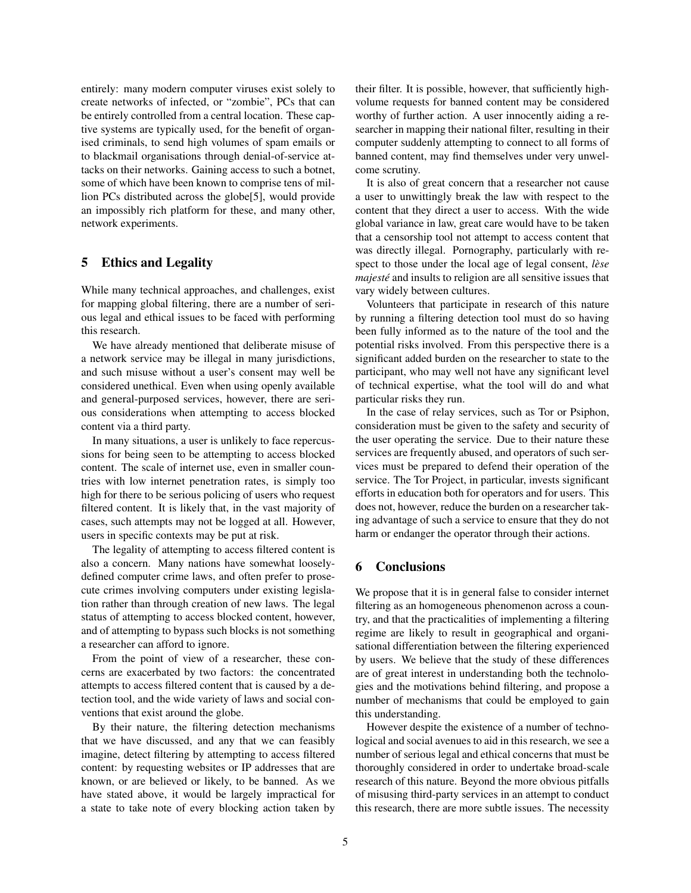entirely: many modern computer viruses exist solely to create networks of infected, or "zombie", PCs that can be entirely controlled from a central location. These captive systems are typically used, for the benefit of organised criminals, to send high volumes of spam emails or to blackmail organisations through denial-of-service attacks on their networks. Gaining access to such a botnet, some of which have been known to comprise tens of million PCs distributed across the globe[5], would provide an impossibly rich platform for these, and many other, network experiments.

## 5 Ethics and Legality

While many technical approaches, and challenges, exist for mapping global filtering, there are a number of serious legal and ethical issues to be faced with performing this research.

We have already mentioned that deliberate misuse of a network service may be illegal in many jurisdictions, and such misuse without a user's consent may well be considered unethical. Even when using openly available and general-purposed services, however, there are serious considerations when attempting to access blocked content via a third party.

In many situations, a user is unlikely to face repercussions for being seen to be attempting to access blocked content. The scale of internet use, even in smaller countries with low internet penetration rates, is simply too high for there to be serious policing of users who request filtered content. It is likely that, in the vast majority of cases, such attempts may not be logged at all. However, users in specific contexts may be put at risk.

The legality of attempting to access filtered content is also a concern. Many nations have somewhat looselydefined computer crime laws, and often prefer to prosecute crimes involving computers under existing legislation rather than through creation of new laws. The legal status of attempting to access blocked content, however, and of attempting to bypass such blocks is not something a researcher can afford to ignore.

From the point of view of a researcher, these concerns are exacerbated by two factors: the concentrated attempts to access filtered content that is caused by a detection tool, and the wide variety of laws and social conventions that exist around the globe.

By their nature, the filtering detection mechanisms that we have discussed, and any that we can feasibly imagine, detect filtering by attempting to access filtered content: by requesting websites or IP addresses that are known, or are believed or likely, to be banned. As we have stated above, it would be largely impractical for a state to take note of every blocking action taken by their filter. It is possible, however, that sufficiently highvolume requests for banned content may be considered worthy of further action. A user innocently aiding a researcher in mapping their national filter, resulting in their computer suddenly attempting to connect to all forms of banned content, may find themselves under very unwelcome scrutiny.

It is also of great concern that a researcher not cause a user to unwittingly break the law with respect to the content that they direct a user to access. With the wide global variance in law, great care would have to be taken that a censorship tool not attempt to access content that was directly illegal. Pornography, particularly with respect to those under the local age of legal consent, *lese ` majeste´* and insults to religion are all sensitive issues that vary widely between cultures.

Volunteers that participate in research of this nature by running a filtering detection tool must do so having been fully informed as to the nature of the tool and the potential risks involved. From this perspective there is a significant added burden on the researcher to state to the participant, who may well not have any significant level of technical expertise, what the tool will do and what particular risks they run.

In the case of relay services, such as Tor or Psiphon, consideration must be given to the safety and security of the user operating the service. Due to their nature these services are frequently abused, and operators of such services must be prepared to defend their operation of the service. The Tor Project, in particular, invests significant efforts in education both for operators and for users. This does not, however, reduce the burden on a researcher taking advantage of such a service to ensure that they do not harm or endanger the operator through their actions.

## 6 Conclusions

We propose that it is in general false to consider internet filtering as an homogeneous phenomenon across a country, and that the practicalities of implementing a filtering regime are likely to result in geographical and organisational differentiation between the filtering experienced by users. We believe that the study of these differences are of great interest in understanding both the technologies and the motivations behind filtering, and propose a number of mechanisms that could be employed to gain this understanding.

However despite the existence of a number of technological and social avenues to aid in this research, we see a number of serious legal and ethical concerns that must be thoroughly considered in order to undertake broad-scale research of this nature. Beyond the more obvious pitfalls of misusing third-party services in an attempt to conduct this research, there are more subtle issues. The necessity